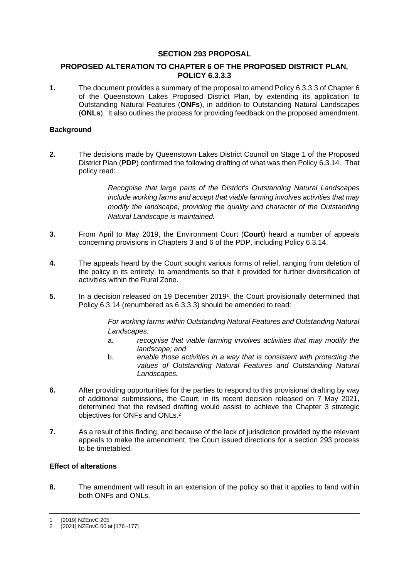# **SECTION 293 PROPOSAL**

# **PROPOSED ALTERATION TO CHAPTER 6 OF THE PROPOSED DISTRICT PLAN, POLICY 6.3.3.3**

**1.** The document provides a summary of the proposal to amend Policy 6.3.3.3 of Chapter 6 of the Queenstown Lakes Proposed District Plan, by extending its application to Outstanding Natural Features (**ONFs**), in addition to Outstanding Natural Landscapes (**ONLs**). It also outlines the process for providing feedback on the proposed amendment.

# **Background**

**2.** The decisions made by Queenstown Lakes District Council on Stage 1 of the Proposed District Plan (**PDP**) confirmed the following drafting of what was then Policy 6.3.14. That policy read:

> *Recognise that large parts of the District's Outstanding Natural Landscapes include working farms and accept that viable farming involves activities that may modify the landscape, providing the quality and character of the Outstanding Natural Landscape is maintained.*

- **3.** From April to May 2019, the Environment Court (**Court**) heard a number of appeals concerning provisions in Chapters 3 and 6 of the PDP, including Policy 6.3.14.
- **4.** The appeals heard by the Court sought various forms of relief, ranging from deletion of the policy in its entirety, to amendments so that it provided for further diversification of activities within the Rural Zone.
- **5.** In a decision released on 19 December 2019<sup>1</sup> , the Court provisionally determined that Policy 6.3.14 (renumbered as 6.3.3.3) should be amended to read:

*For working farms within Outstanding Natural Features and Outstanding Natural Landscapes:* 

- a. *recognise that viable farming involves activities that may modify the landscape; and*
- b. *enable those activities in a way that is consistent with protecting the values of Outstanding Natural Features and Outstanding Natural Landscapes.*
- **6.** After providing opportunities for the parties to respond to this provisional drafting by way of additional submissions, the Court, in its recent decision released on 7 May 2021, determined that the revised drafting would assist to achieve the Chapter 3 strategic objectives for ONFs and ONLs.<sup>2</sup>
- **7.** As a result of this finding, and because of the lack of jurisdiction provided by the relevant appeals to make the amendment, the Court issued directions for a section 293 process to be timetabled.

# **Effect of alterations**

**8.** The amendment will result in an extension of the policy so that it applies to land within both ONFs and ONLs.

<sup>[2019]</sup> NZEnvC 205

<sup>2</sup> [2021] NZEnvC 60 at [176 -177]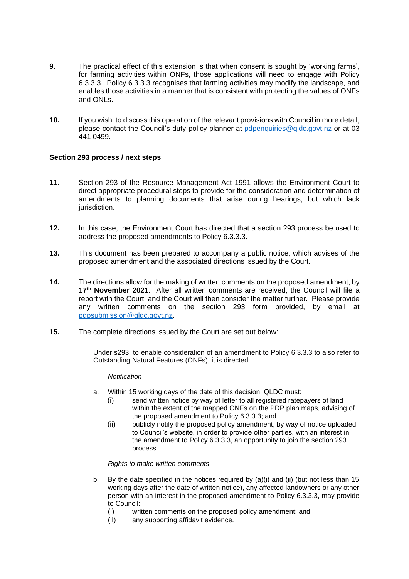- **9.** The practical effect of this extension is that when consent is sought by 'working farms', for farming activities within ONFs, those applications will need to engage with Policy 6.3.3.3. Policy 6.3.3.3 recognises that farming activities may modify the landscape, and enables those activities in a manner that is consistent with protecting the values of ONFs and ONLs.
- **10.** If you wish to discuss this operation of the relevant provisions with Council in more detail, please contact the Council's duty policy planner at [pdpenquiries@qldc.govt.nz](mailto:pdpenquiries@qldc.govt.nz) or at 03 441 0499.

### **Section 293 process / next steps**

- **11.** Section 293 of the Resource Management Act 1991 allows the Environment Court to direct appropriate procedural steps to provide for the consideration and determination of amendments to planning documents that arise during hearings, but which lack jurisdiction.
- **12.** In this case, the Environment Court has directed that a section 293 process be used to address the proposed amendments to Policy 6.3.3.3.
- **13.** This document has been prepared to accompany a public notice, which advises of the proposed amendment and the associated directions issued by the Court.
- **14.** The directions allow for the making of written comments on the proposed amendment, by **17th November 2021**. After all written comments are received, the Council will file a report with the Court, and the Court will then consider the matter further. Please provide any written comments on the section 293 form provided, by email at [pdpsubmission@qldc.govt.nz.](mailto:pdpsubmission@qldc.govt.nz)
- **15.** The complete directions issued by the Court are set out below:

Under s293, to enable consideration of an amendment to Policy 6.3.3.3 to also refer to Outstanding Natural Features (ONFs), it is directed:

#### *Notification*

- a. Within 15 working days of the date of this decision, QLDC must:
	- (i) send written notice by way of letter to all registered ratepayers of land within the extent of the mapped ONFs on the PDP plan maps, advising of the proposed amendment to Policy 6.3.3.3; and
	- (ii) publicly notify the proposed policy amendment, by way of notice uploaded to Council's website, in order to provide other parties, with an interest in the amendment to Policy 6.3.3.3, an opportunity to join the section 293 process.

*Rights to make written comments*

- b. By the date specified in the notices required by (a)(i) and (ii) (but not less than 15 working days after the date of written notice), any affected landowners or any other person with an interest in the proposed amendment to Policy 6.3.3.3, may provide to Council:
	- (i) written comments on the proposed policy amendment; and
	- (ii) any supporting affidavit evidence.